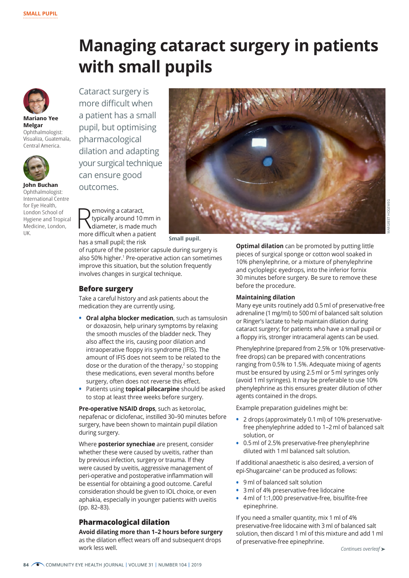# **Managing cataract surgery in patients with small pupils**



**Mariano Yee Melgar** Ophthalmologist: Visualiza, Guatemala, Central America.



**John Buchan** Ophthalmologist: International Centre for Eye Health, London School of Hygiene and Tropical Medicine, London, UK.

Cataract surgery is more difficult when a patient has a small pupil, but optimising pharmacological dilation and adapting your surgical technique can ensure good outcomes.

Removing a cataract,<br>
diameter, is made much<br>
mere difficult when a patient typically around 10 mm in more difficult when a patient has a small pupil; the risk



**Small pupil.**

of rupture of the posterior capsule during surgery is also 50% higher.<sup>1</sup> Pre-operative action can sometimes improve this situation, but the solution frequently involves changes in surgical technique.

#### **Before surgery**

Take a careful history and ask patients about the medication they are currently using.

- **• Oral alpha blocker medication**, such as tamsulosin or doxazosin, help urinary symptoms by relaxing the smooth muscles of the bladder neck. They also affect the iris, causing poor dilation and intraoperative floppy iris syndrome (IFIS). The amount of IFIS does not seem to be related to the dose or the duration of the therapy, $<sup>2</sup>$  so stopping</sup> these medications, even several months before surgery, often does not reverse this effect.
- **•** Patients using **topical pilocarpine** should be asked to stop at least three weeks before surgery.

**Pre-operative NSAID drops**, such as ketorolac, nepafenac or diclofenac, instilled 30–90 minutes before surgery, have been shown to maintain pupil dilation during surgery.

Where **posterior synechiae** are present, consider whether these were caused by uveitis, rather than by previous infection, surgery or trauma. If they were caused by uveitis, aggressive management of peri-operative and postoperative inflammation will be essential for obtaining a good outcome. Careful consideration should be given to IOL choice, or even aphakia, especially in younger patients with uveitis (pp. 82–83).

#### **Pharmacological dilation**

**Avoid dilating more than 1–2 hours before surgery**  as the dilation effect wears off and subsequent drops work less well.

MARGREET HOGEWEG

**Optimal dilation** can be promoted by putting little pieces of surgical sponge or cotton wool soaked in 10% phenylephrine, or a mixture of phenylephrine and cycloplegic eyedrops, into the inferior fornix 30 minutes before surgery. Be sure to remove these before the procedure.

#### **Maintaining dilation**

Many eye units routinely add 0.5 ml of preservative-free adrenaline (1 mg/ml) to 500 ml of balanced salt solution or Ringer's lactate to help maintain dilation during cataract surgery; for patients who have a small pupil or a floppy iris, stronger intracameral agents can be used.

Phenylephrine (prepared from 2.5% or 10% preservativefree drops) can be prepared with concentrations ranging from 0.5% to 1.5%. Adequate mixing of agents must be ensured by using 2.5 ml or 5 ml syringes only (avoid 1 ml syringes). It may be preferable to use 10% phenylephrine as this ensures greater dilution of other agents contained in the drops.

Example preparation guidelines might be:

- **•** 2 drops (approximately 0.1 ml) of 10% preservativefree phenylephrine added to 1–2 ml of balanced salt solution, or
- **•** 0.5 ml of 2.5% preservative-free phenylephrine diluted with 1 ml balanced salt solution.

If additional anaesthetic is also desired, a version of epi-Shugarcaine<sup>3</sup> can be produced as follows:

- **•** 9 ml of balanced salt solution
- **•** 3 ml of 4% preservative-free lidocaine
- **•** 4 ml of 1:1,000 preservative-free, bisulfite-free epinephrine.

If you need a smaller quantity, mix 1 ml of 4% preservative-free lidocaine with 3 ml of balanced salt solution, then discard 1 ml of this mixture and add 1 ml of preservative-free epinephrine.